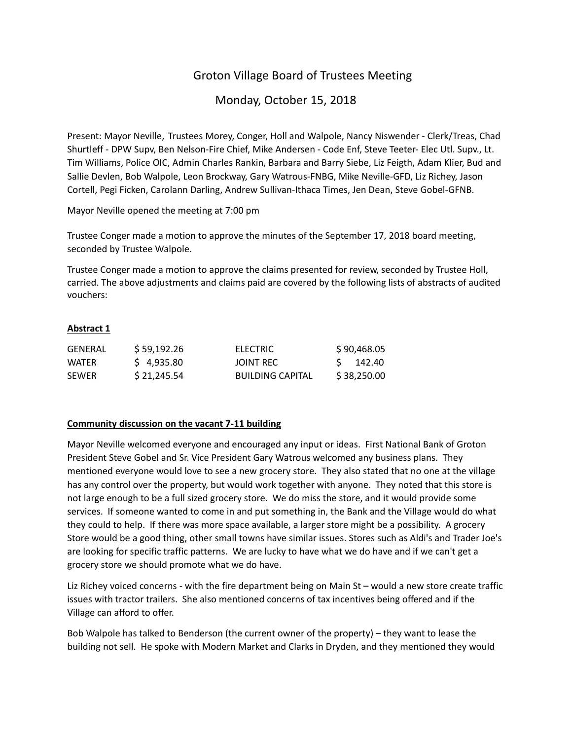# Groton Village Board of Trustees Meeting

# Monday, October 15, 2018

Present: Mayor Neville, Trustees Morey, Conger, Holl and Walpole, Nancy Niswender ‐ Clerk/Treas, Chad Shurtleff ‐ DPW Supv, Ben Nelson‐Fire Chief, Mike Andersen ‐ Code Enf, Steve Teeter‐ Elec Utl. Supv., Lt. Tim Williams, Police OIC, Admin Charles Rankin, Barbara and Barry Siebe, Liz Feigth, Adam Klier, Bud and Sallie Devlen, Bob Walpole, Leon Brockway, Gary Watrous‐FNBG, Mike Neville‐GFD, Liz Richey, Jason Cortell, Pegi Ficken, Carolann Darling, Andrew Sullivan‐Ithaca Times, Jen Dean, Steve Gobel‐GFNB.

Mayor Neville opened the meeting at 7:00 pm

Trustee Conger made a motion to approve the minutes of the September 17, 2018 board meeting, seconded by Trustee Walpole.

Trustee Conger made a motion to approve the claims presented for review, seconded by Trustee Holl, carried. The above adjustments and claims paid are covered by the following lists of abstracts of audited vouchers:

## **Abstract 1**

| GENERAL      | \$59,192.26 | ELECTRIC                | \$90,468.05 |
|--------------|-------------|-------------------------|-------------|
| <b>WATFR</b> | \$4.935.80  | JOINT REC               | S 142.40    |
| <b>SEWER</b> | \$21.245.54 | <b>BUILDING CAPITAL</b> | \$38,250.00 |

### **Community discussion on the vacant 7‐11 building**

Mayor Neville welcomed everyone and encouraged any input or ideas. First National Bank of Groton President Steve Gobel and Sr. Vice President Gary Watrous welcomed any business plans. They mentioned everyone would love to see a new grocery store. They also stated that no one at the village has any control over the property, but would work together with anyone. They noted that this store is not large enough to be a full sized grocery store. We do miss the store, and it would provide some services. If someone wanted to come in and put something in, the Bank and the Village would do what they could to help. If there was more space available, a larger store might be a possibility. A grocery Store would be a good thing, other small towns have similar issues. Stores such as Aldi's and Trader Joe's are looking for specific traffic patterns. We are lucky to have what we do have and if we can't get a grocery store we should promote what we do have.

Liz Richey voiced concerns ‐ with the fire department being on Main St – would a new store create traffic issues with tractor trailers. She also mentioned concerns of tax incentives being offered and if the Village can afford to offer.

Bob Walpole has talked to Benderson (the current owner of the property) – they want to lease the building not sell. He spoke with Modern Market and Clarks in Dryden, and they mentioned they would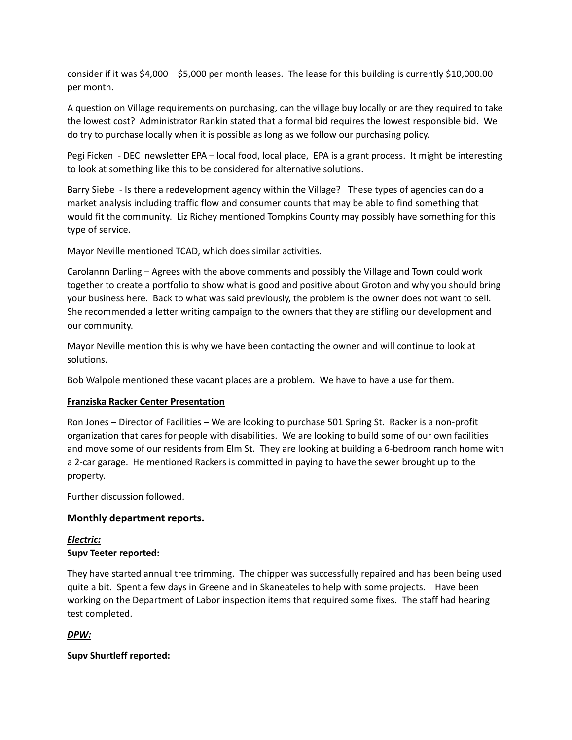consider if it was \$4,000 – \$5,000 per month leases. The lease for this building is currently \$10,000.00 per month.

A question on Village requirements on purchasing, can the village buy locally or are they required to take the lowest cost? Administrator Rankin stated that a formal bid requires the lowest responsible bid. We do try to purchase locally when it is possible as long as we follow our purchasing policy.

Pegi Ficken ‐ DEC newsletter EPA – local food, local place, EPA is a grant process. It might be interesting to look at something like this to be considered for alternative solutions.

Barry Siebe ‐ Is there a redevelopment agency within the Village? These types of agencies can do a market analysis including traffic flow and consumer counts that may be able to find something that would fit the community. Liz Richey mentioned Tompkins County may possibly have something for this type of service.

Mayor Neville mentioned TCAD, which does similar activities.

Carolannn Darling – Agrees with the above comments and possibly the Village and Town could work together to create a portfolio to show what is good and positive about Groton and why you should bring your business here. Back to what was said previously, the problem is the owner does not want to sell. She recommended a letter writing campaign to the owners that they are stifling our development and our community.

Mayor Neville mention this is why we have been contacting the owner and will continue to look at solutions.

Bob Walpole mentioned these vacant places are a problem. We have to have a use for them.

# **Franziska Racker Center Presentation**

Ron Jones – Director of Facilities – We are looking to purchase 501 Spring St. Racker is a non‐profit organization that cares for people with disabilities. We are looking to build some of our own facilities and move some of our residents from Elm St. They are looking at building a 6‐bedroom ranch home with a 2‐car garage. He mentioned Rackers is committed in paying to have the sewer brought up to the property.

Further discussion followed.

# **Monthly department reports.**

# *Electric:* **Supv Teeter reported:**

They have started annual tree trimming. The chipper was successfully repaired and has been being used quite a bit. Spent a few days in Greene and in Skaneateles to help with some projects. Have been working on the Department of Labor inspection items that required some fixes. The staff had hearing test completed.

# *DPW:*

# **Supv Shurtleff reported:**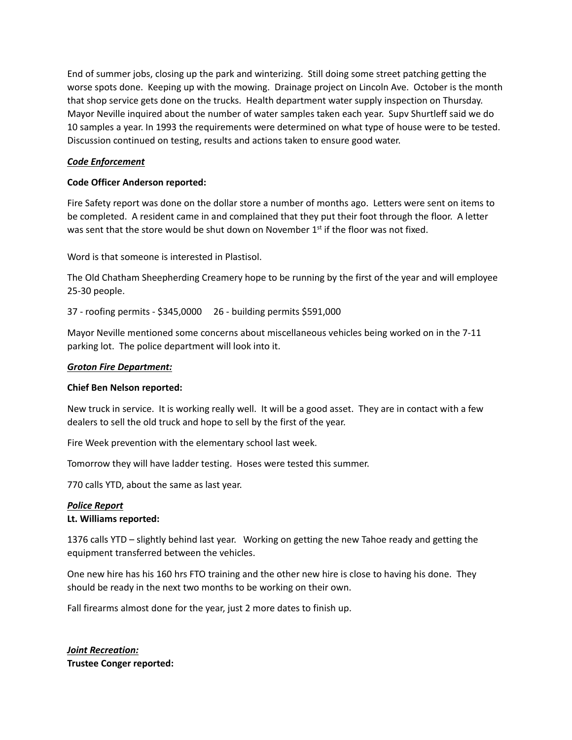End of summer jobs, closing up the park and winterizing. Still doing some street patching getting the worse spots done. Keeping up with the mowing. Drainage project on Lincoln Ave. October is the month that shop service gets done on the trucks. Health department water supply inspection on Thursday. Mayor Neville inquired about the number of water samples taken each year. Supv Shurtleff said we do 10 samples a year. In 1993 the requirements were determined on what type of house were to be tested. Discussion continued on testing, results and actions taken to ensure good water.

### *Code Enforcement*

### **Code Officer Anderson reported:**

Fire Safety report was done on the dollar store a number of months ago. Letters were sent on items to be completed. A resident came in and complained that they put their foot through the floor. A letter was sent that the store would be shut down on November  $1<sup>st</sup>$  if the floor was not fixed.

Word is that someone is interested in Plastisol.

The Old Chatham Sheepherding Creamery hope to be running by the first of the year and will employee 25‐30 people.

37 ‐ roofing permits ‐ \$345,0000 26 ‐ building permits \$591,000

Mayor Neville mentioned some concerns about miscellaneous vehicles being worked on in the 7‐11 parking lot. The police department will look into it.

## *Groton Fire Department:*

### **Chief Ben Nelson reported:**

New truck in service. It is working really well. It will be a good asset. They are in contact with a few dealers to sell the old truck and hope to sell by the first of the year.

Fire Week prevention with the elementary school last week.

Tomorrow they will have ladder testing. Hoses were tested this summer.

770 calls YTD, about the same as last year.

### *Police Report*

### **Lt. Williams reported:**

1376 calls YTD – slightly behind last year. Working on getting the new Tahoe ready and getting the equipment transferred between the vehicles.

One new hire has his 160 hrs FTO training and the other new hire is close to having his done. They should be ready in the next two months to be working on their own.

Fall firearms almost done for the year, just 2 more dates to finish up.

*Joint Recreation:* **Trustee Conger reported:**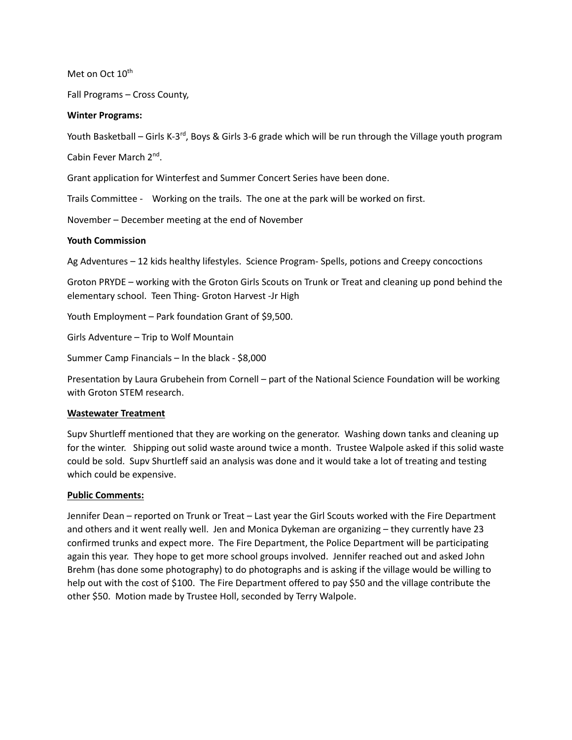Met on Oct 10<sup>th</sup>

Fall Programs – Cross County,

#### **Winter Programs:**

Youth Basketball – Girls K-3<sup>rd</sup>, Boys & Girls 3-6 grade which will be run through the Village youth program

Cabin Fever March 2nd.

Grant application for Winterfest and Summer Concert Series have been done.

Trails Committee - Working on the trails. The one at the park will be worked on first.

November – December meeting at the end of November

#### **Youth Commission**

Ag Adventures – 12 kids healthy lifestyles. Science Program‐ Spells, potions and Creepy concoctions

Groton PRYDE – working with the Groton Girls Scouts on Trunk or Treat and cleaning up pond behind the elementary school. Teen Thing‐ Groton Harvest ‐Jr High

Youth Employment – Park foundation Grant of \$9,500.

Girls Adventure – Trip to Wolf Mountain

Summer Camp Financials – In the black ‐ \$8,000

Presentation by Laura Grubehein from Cornell – part of the National Science Foundation will be working with Groton STEM research.

#### **Wastewater Treatment**

Supv Shurtleff mentioned that they are working on the generator. Washing down tanks and cleaning up for the winter. Shipping out solid waste around twice a month. Trustee Walpole asked if this solid waste could be sold. Supv Shurtleff said an analysis was done and it would take a lot of treating and testing which could be expensive.

### **Public Comments:**

Jennifer Dean – reported on Trunk or Treat – Last year the Girl Scouts worked with the Fire Department and others and it went really well. Jen and Monica Dykeman are organizing – they currently have 23 confirmed trunks and expect more. The Fire Department, the Police Department will be participating again this year. They hope to get more school groups involved. Jennifer reached out and asked John Brehm (has done some photography) to do photographs and is asking if the village would be willing to help out with the cost of \$100. The Fire Department offered to pay \$50 and the village contribute the other \$50. Motion made by Trustee Holl, seconded by Terry Walpole.